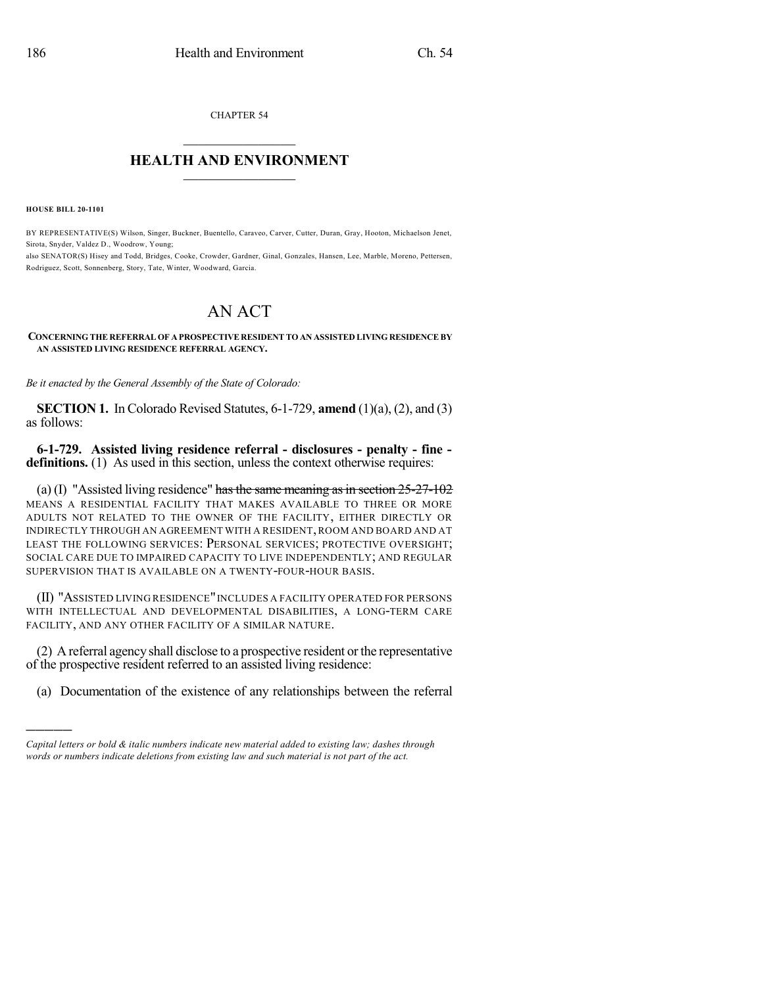CHAPTER 54  $\overline{\phantom{a}}$  . The set of the set of the set of the set of the set of the set of the set of the set of the set of the set of the set of the set of the set of the set of the set of the set of the set of the set of the set o

## **HEALTH AND ENVIRONMENT**  $\_$

**HOUSE BILL 20-1101**

)))))

BY REPRESENTATIVE(S) Wilson, Singer, Buckner, Buentello, Caraveo, Carver, Cutter, Duran, Gray, Hooton, Michaelson Jenet, Sirota, Snyder, Valdez D., Woodrow, Young; also SENATOR(S) Hisey and Todd, Bridges, Cooke, Crowder, Gardner, Ginal, Gonzales, Hansen, Lee, Marble, Moreno, Pettersen, Rodriguez, Scott, Sonnenberg, Story, Tate, Winter, Woodward, Garcia.

## AN ACT

## **CONCERNING THE REFERRAL OF A PROSPECTIVE RESIDENT TO AN ASSISTED LIVING RESIDENCE BY AN ASSISTED LIVING RESIDENCE REFERRAL AGENCY.**

*Be it enacted by the General Assembly of the State of Colorado:*

**SECTION 1.** In Colorado Revised Statutes, 6-1-729, **amend** (1)(a), (2), and (3) as follows:

**6-1-729. Assisted living residence referral - disclosures - penalty - fine definitions.** (1) As used in this section, unless the context otherwise requires:

(a) (I) "Assisted living residence" has the same meaning as in section  $25-27-102$ MEANS A RESIDENTIAL FACILITY THAT MAKES AVAILABLE TO THREE OR MORE ADULTS NOT RELATED TO THE OWNER OF THE FACILITY, EITHER DIRECTLY OR INDIRECTLY THROUGH AN AGREEMENT WITH A RESIDENT,ROOM AND BOARD AND AT LEAST THE FOLLOWING SERVICES: PERSONAL SERVICES; PROTECTIVE OVERSIGHT; SOCIAL CARE DUE TO IMPAIRED CAPACITY TO LIVE INDEPENDENTLY; AND REGULAR SUPERVISION THAT IS AVAILABLE ON A TWENTY-FOUR-HOUR BASIS.

(II) "ASSISTED LIVING RESIDENCE"INCLUDES A FACILITY OPERATED FOR PERSONS WITH INTELLECTUAL AND DEVELOPMENTAL DISABILITIES, A LONG-TERM CARE FACILITY, AND ANY OTHER FACILITY OF A SIMILAR NATURE.

(2) A referral agency shall disclose to a prospective resident orthe representative of the prospective resident referred to an assisted living residence:

(a) Documentation of the existence of any relationships between the referral

*Capital letters or bold & italic numbers indicate new material added to existing law; dashes through words or numbers indicate deletions from existing law and such material is not part of the act.*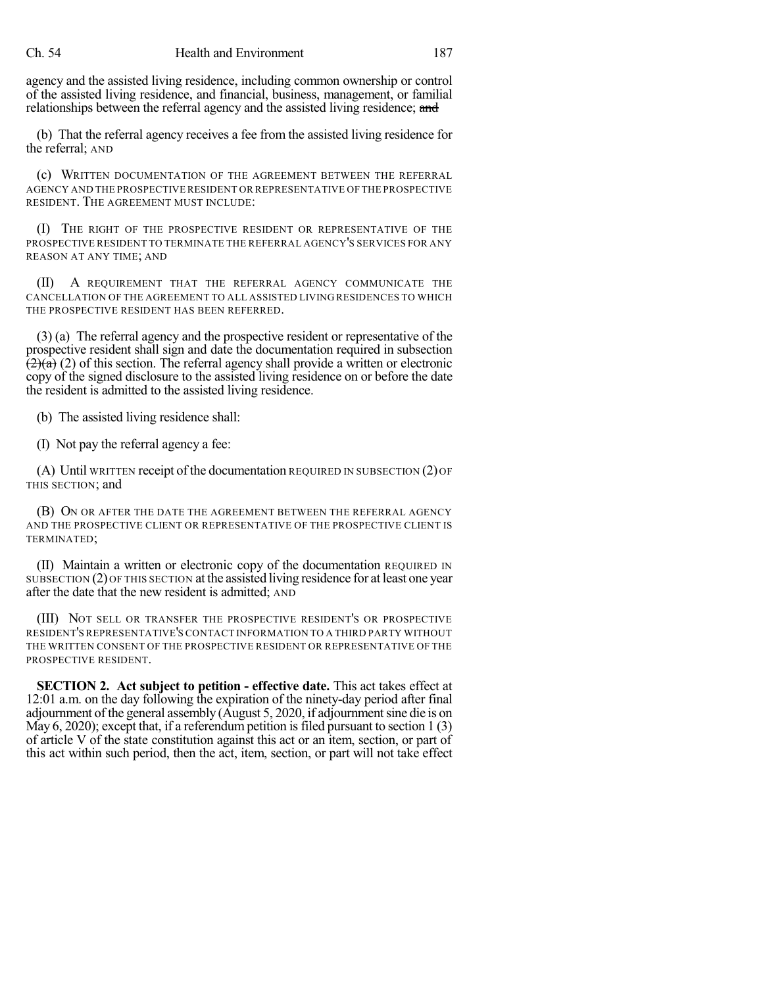## Ch. 54 Health and Environment 187

agency and the assisted living residence, including common ownership or control of the assisted living residence, and financial, business, management, or familial relationships between the referral agency and the assisted living residence; and

(b) That the referral agency receives a fee from the assisted living residence for the referral; AND

(c) WRITTEN DOCUMENTATION OF THE AGREEMENT BETWEEN THE REFERRAL AGENCY AND THE PROSPECTIVE RESIDENT OR REPRESENTATIVE OF THE PROSPECTIVE RESIDENT. THE AGREEMENT MUST INCLUDE:

(I) THE RIGHT OF THE PROSPECTIVE RESIDENT OR REPRESENTATIVE OF THE PROSPECTIVE RESIDENT TO TERMINATE THE REFERRAL AGENCY'S SERVICES FOR ANY REASON AT ANY TIME; AND

(II) A REQUIREMENT THAT THE REFERRAL AGENCY COMMUNICATE THE CANCELLATION OF THE AGREEMENT TO ALL ASSISTED LIVING RESIDENCES TO WHICH THE PROSPECTIVE RESIDENT HAS BEEN REFERRED.

(3) (a) The referral agency and the prospective resident or representative of the prospective resident shall sign and date the documentation required in subsection  $\sqrt{(2)(a)}$  (2) of this section. The referral agency shall provide a written or electronic copy of the signed disclosure to the assisted living residence on or before the date the resident is admitted to the assisted living residence.

(b) The assisted living residence shall:

(I) Not pay the referral agency a fee:

(A) Until WRITTEN receipt of the documentation REQUIRED IN SUBSECTION (2) OF THIS SECTION; and

(B) ON OR AFTER THE DATE THE AGREEMENT BETWEEN THE REFERRAL AGENCY AND THE PROSPECTIVE CLIENT OR REPRESENTATIVE OF THE PROSPECTIVE CLIENT IS TERMINATED;

(II) Maintain a written or electronic copy of the documentation REQUIRED IN SUBSECTION (2) OF THIS SECTION at the assisted living residence for at least one year after the date that the new resident is admitted; AND

(III) NOT SELL OR TRANSFER THE PROSPECTIVE RESIDENT'S OR PROSPECTIVE RESIDENT'S REPRESENTATIVE'S CONTACT INFORMATION TO A THIRD PARTY WITHOUT THE WRITTEN CONSENT OF THE PROSPECTIVE RESIDENT OR REPRESENTATIVE OF THE PROSPECTIVE RESIDENT.

**SECTION 2. Act subject to petition - effective date.** This act takes effect at 12:01 a.m. on the day following the expiration of the ninety-day period after final adjournment of the general assembly (August 5, 2020, if adjournmentsine die is on May 6, 2020); except that, if a referendum petition is filed pursuant to section  $1(3)$ of article V of the state constitution against this act or an item, section, or part of this act within such period, then the act, item, section, or part will not take effect